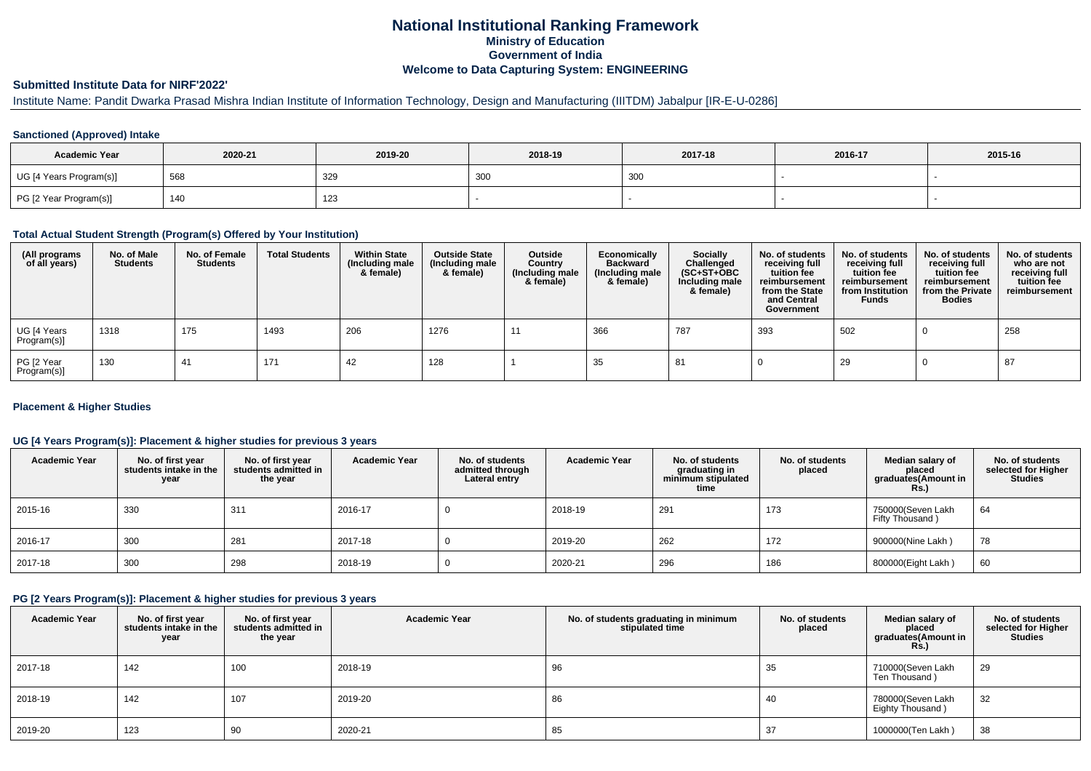# **National Institutional Ranking FrameworkMinistry of Education Government of IndiaWelcome to Data Capturing System: ENGINEERING**

#### **Submitted Institute Data for NIRF'2022'**

# Institute Name: Pandit Dwarka Prasad Mishra Indian Institute of Information Technology, Design and Manufacturing (IIITDM) Jabalpur [IR-E-U-0286]

#### **Sanctioned (Approved) Intake**

| <b>Academic Year</b>    | 2020-21 | 2019-20         | 2018-19 | 2017-18 | 2016-17 | 2015-16 |
|-------------------------|---------|-----------------|---------|---------|---------|---------|
| UG [4 Years Program(s)] | 568     | 32 <sup>c</sup> | 300     | 300     |         |         |
| PG [2 Year Program(s)]  | 140     | 123             |         |         |         |         |

#### **Total Actual Student Strength (Program(s) Offered by Your Institution)**

| (All programs<br>of all years) | No. of Male<br><b>Students</b> | No. of Female<br><b>Students</b> | <b>Total Students</b> | <b>Within State</b><br>(Including male<br>& female) | <b>Outside State</b><br>(Including male<br>& female) | Outside<br>Country<br>(Including male<br>& female) | Economically<br><b>Backward</b><br>(Including male<br>& female) | <b>Socially</b><br>Challenged<br>$(SC+ST+OBC)$<br>Including male<br>& female) | No. of students<br>receiving full<br>tuition fee<br>reimbursement<br>from the State<br>and Central<br>Government | No. of students<br>receiving full<br>tuition fee<br>reimbursement<br>from Institution<br><b>Funds</b> | No. of students<br>receiving full<br>tuition fee<br>reimbursement<br>from the Private<br><b>Bodies</b> | No. of students<br>who are not<br>receiving full<br>tuition fee<br>reimbursement |
|--------------------------------|--------------------------------|----------------------------------|-----------------------|-----------------------------------------------------|------------------------------------------------------|----------------------------------------------------|-----------------------------------------------------------------|-------------------------------------------------------------------------------|------------------------------------------------------------------------------------------------------------------|-------------------------------------------------------------------------------------------------------|--------------------------------------------------------------------------------------------------------|----------------------------------------------------------------------------------|
| UG [4 Years<br>Program(s)]     | 1318                           | 175                              | 1493                  | 206                                                 | 1276                                                 | -11                                                | 366                                                             | 787                                                                           | 393                                                                                                              | 502                                                                                                   |                                                                                                        | 258                                                                              |
| PG [2 Year<br>Program(s)]      | 130                            | 41                               | 171                   | 42                                                  | 128                                                  |                                                    | 35                                                              | 81                                                                            |                                                                                                                  | 29                                                                                                    |                                                                                                        | 87                                                                               |

### **Placement & Higher Studies**

### **UG [4 Years Program(s)]: Placement & higher studies for previous 3 years**

| <b>Academic Year</b> | No. of first year<br>students intake in the<br>year | No. of first vear<br>students admitted in<br>the year | <b>Academic Year</b> | No. of students<br>admitted through<br>Lateral entry | <b>Academic Year</b> | No. of students<br>graduating in<br>minimum stipulated<br>time | No. of students<br>placed | Median salary of<br>placed<br>graduates(Amount in<br><b>Rs.)</b> | No. of students<br>selected for Higher<br>Studies |
|----------------------|-----------------------------------------------------|-------------------------------------------------------|----------------------|------------------------------------------------------|----------------------|----------------------------------------------------------------|---------------------------|------------------------------------------------------------------|---------------------------------------------------|
| 2015-16              | 330                                                 | 31'                                                   | 2016-17              |                                                      | 2018-19              | 291                                                            | 173                       | 750000(Seven Lakh<br>Fifty Thousand)                             | 64                                                |
| 2016-17              | 300                                                 | 281                                                   | 2017-18              |                                                      | 2019-20              | 262                                                            | 172                       | 900000(Nine Lakh)                                                | 78                                                |
| 2017-18              | 300                                                 | 298                                                   | 2018-19              |                                                      | 2020-21              | 296                                                            | 186                       | 800000(Eight Lakh)                                               | 60                                                |

#### **PG [2 Years Program(s)]: Placement & higher studies for previous 3 years**

| <b>Academic Year</b> | No. of first year<br>students intake in the<br>year | No. of first year<br>students admitted in<br>the year | <b>Academic Year</b> | No. of students graduating in minimum<br>No. of students<br>stipulated time<br>placed |     | Median salary of<br>placed<br>graduates(Amount in<br>R <sub>s</sub> | No. of students<br>selected for Higher<br><b>Studies</b> |
|----------------------|-----------------------------------------------------|-------------------------------------------------------|----------------------|---------------------------------------------------------------------------------------|-----|---------------------------------------------------------------------|----------------------------------------------------------|
| 2017-18              | 142                                                 | 100                                                   | 2018-19              | 96                                                                                    | 35  | 710000(Seven Lakh<br>Ten Thousand)                                  | 29                                                       |
| 2018-19              | 142                                                 | 107                                                   | 2019-20              | 86                                                                                    | -40 | 780000(Seven Lakh<br>Eighty Thousand)                               | 32                                                       |
| 2019-20              | 123                                                 | 90                                                    | 2020-21              | 85                                                                                    |     | 1000000(Ten Lakh)                                                   | 38                                                       |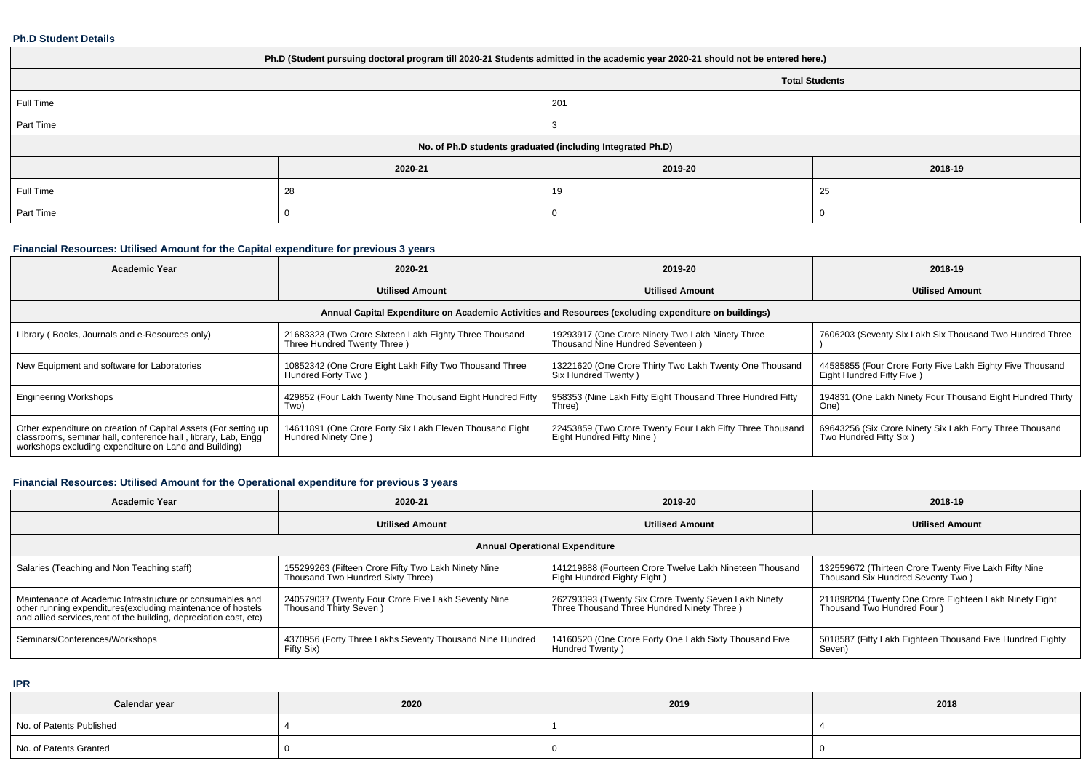### **Ph.D Student Details**

| Ph.D (Student pursuing doctoral program till 2020-21 Students admitted in the academic year 2020-21 should not be entered here.) |                                                            |         |         |  |  |  |  |
|----------------------------------------------------------------------------------------------------------------------------------|------------------------------------------------------------|---------|---------|--|--|--|--|
| <b>Total Students</b>                                                                                                            |                                                            |         |         |  |  |  |  |
| Full Time                                                                                                                        |                                                            | 201     |         |  |  |  |  |
| Part Time                                                                                                                        |                                                            |         |         |  |  |  |  |
|                                                                                                                                  | No. of Ph.D students graduated (including Integrated Ph.D) |         |         |  |  |  |  |
|                                                                                                                                  | 2020-21                                                    | 2019-20 | 2018-19 |  |  |  |  |
| Full Time                                                                                                                        | 28                                                         | 19      | 25      |  |  |  |  |
| Part Time                                                                                                                        |                                                            |         |         |  |  |  |  |

# **Financial Resources: Utilised Amount for the Capital expenditure for previous 3 years**

| <b>Academic Year</b>                                                                                                                                                                      | 2020-21                                                                               | 2019-20                                                                                | 2018-19                                                                                |  |  |  |  |  |
|-------------------------------------------------------------------------------------------------------------------------------------------------------------------------------------------|---------------------------------------------------------------------------------------|----------------------------------------------------------------------------------------|----------------------------------------------------------------------------------------|--|--|--|--|--|
|                                                                                                                                                                                           | <b>Utilised Amount</b>                                                                | <b>Utilised Amount</b>                                                                 | <b>Utilised Amount</b>                                                                 |  |  |  |  |  |
| Annual Capital Expenditure on Academic Activities and Resources (excluding expenditure on buildings)                                                                                      |                                                                                       |                                                                                        |                                                                                        |  |  |  |  |  |
| Library (Books, Journals and e-Resources only)                                                                                                                                            | 21683323 (Two Crore Sixteen Lakh Eighty Three Thousand<br>Three Hundred Twenty Three) | 19293917 (One Crore Ninety Two Lakh Ninety Three<br>Thousand Nine Hundred Seventeen)   | 7606203 (Seventy Six Lakh Six Thousand Two Hundred Three                               |  |  |  |  |  |
| New Equipment and software for Laboratories                                                                                                                                               | 10852342 (One Crore Eight Lakh Fifty Two Thousand Three<br>Hundred Forty Two)         | 13221620 (One Crore Thirty Two Lakh Twenty One Thousand<br>Six Hundred Twenty)         | 44585855 (Four Crore Forty Five Lakh Eighty Five Thousand<br>Eight Hundred Fifty Five) |  |  |  |  |  |
| <b>Engineering Workshops</b>                                                                                                                                                              | 429852 (Four Lakh Twenty Nine Thousand Eight Hundred Fifty<br>Two)                    | 958353 (Nine Lakh Fifty Eight Thousand Three Hundred Fifty<br>Three)                   | 194831 (One Lakh Ninety Four Thousand Eight Hundred Thirty<br>One)                     |  |  |  |  |  |
| Other expenditure on creation of Capital Assets (For setting up<br>classrooms, seminar hall, conference hall, library, Lab, Engq<br>workshops excluding expenditure on Land and Building) | 14611891 (One Crore Forty Six Lakh Eleven Thousand Eight<br>Hundred Ninety One)       | 22453859 (Two Crore Twenty Four Lakh Fifty Three Thousand<br>Eight Hundred Fifty Nine) | 69643256 (Six Crore Ninety Six Lakh Forty Three Thousand<br>Two Hundred Fifty Six)     |  |  |  |  |  |

# **Financial Resources: Utilised Amount for the Operational expenditure for previous 3 years**

| Academic Year                                                                                                                                                                                  | 2020-21                                                                                  | 2019-20                                                                                            | 2018-19                                                                                    |  |  |  |  |  |  |
|------------------------------------------------------------------------------------------------------------------------------------------------------------------------------------------------|------------------------------------------------------------------------------------------|----------------------------------------------------------------------------------------------------|--------------------------------------------------------------------------------------------|--|--|--|--|--|--|
|                                                                                                                                                                                                | <b>Utilised Amount</b>                                                                   | <b>Utilised Amount</b>                                                                             | <b>Utilised Amount</b>                                                                     |  |  |  |  |  |  |
| <b>Annual Operational Expenditure</b>                                                                                                                                                          |                                                                                          |                                                                                                    |                                                                                            |  |  |  |  |  |  |
| Salaries (Teaching and Non Teaching staff)                                                                                                                                                     | 155299263 (Fifteen Crore Fifty Two Lakh Ninety Nine<br>Thousand Two Hundred Sixty Three) | 141219888 (Fourteen Crore Twelve Lakh Nineteen Thousand<br>Eight Hundred Eighty Eight)             | 132559672 (Thirteen Crore Twenty Five Lakh Fifty Nine<br>Thousand Six Hundred Seventy Two) |  |  |  |  |  |  |
| Maintenance of Academic Infrastructure or consumables and<br>other running expenditures(excluding maintenance of hostels<br>and allied services, rent of the building, depreciation cost, etc) | 240579037 (Twenty Four Crore Five Lakh Seventy Nine<br>Thousand Thirty Seven)            | 262793393 (Twenty Six Crore Twenty Seven Lakh Ninety<br>Three Thousand Three Hundred Ninety Three) | 211898204 (Twenty One Crore Eighteen Lakh Ninety Eight<br>Thousand Two Hundred Four )      |  |  |  |  |  |  |
| Seminars/Conferences/Workshops                                                                                                                                                                 | 4370956 (Forty Three Lakhs Seventy Thousand Nine Hundred<br>Fifty Six)                   | 14160520 (One Crore Forty One Lakh Sixty Thousand Five<br>Hundred Twenty)                          | 5018587 (Fifty Lakh Eighteen Thousand Five Hundred Eighty<br>Seven)                        |  |  |  |  |  |  |

**IPR**

| Calendar year            | 2020 | 2019 | 2018 |
|--------------------------|------|------|------|
| No. of Patents Published |      |      |      |
| No. of Patents Granted   |      |      |      |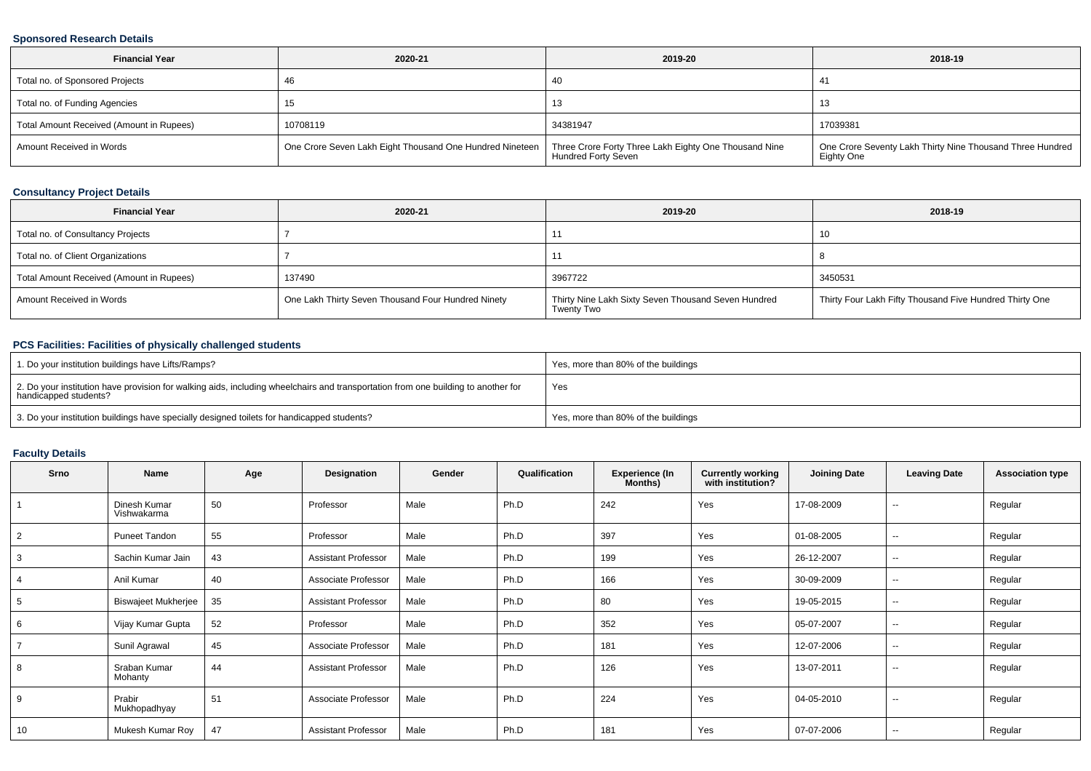### **Sponsored Research Details**

| <b>Financial Year</b>                    | 2020-21                                                  | 2019-20                                                                      | 2018-19                                                                 |
|------------------------------------------|----------------------------------------------------------|------------------------------------------------------------------------------|-------------------------------------------------------------------------|
| Total no. of Sponsored Projects          | -46                                                      | 40                                                                           | -41                                                                     |
| Total no. of Funding Agencies            |                                                          | د ا                                                                          | 10                                                                      |
| Total Amount Received (Amount in Rupees) | 10708119                                                 | 34381947                                                                     | 17039381                                                                |
| Amount Received in Words                 | One Crore Seven Lakh Eight Thousand One Hundred Nineteen | Three Crore Forty Three Lakh Eighty One Thousand Nine<br>Hundred Forty Seven | One Crore Seventy Lakh Thirty Nine Thousand Three Hundred<br>Eighty One |

## **Consultancy Project Details**

| <b>Financial Year</b>                    | 2020-21                                            | 2019-20                                                                  | 2018-19                                                 |
|------------------------------------------|----------------------------------------------------|--------------------------------------------------------------------------|---------------------------------------------------------|
| Total no. of Consultancy Projects        |                                                    |                                                                          | 10                                                      |
| Total no. of Client Organizations        |                                                    |                                                                          |                                                         |
| Total Amount Received (Amount in Rupees) | 137490                                             | 3967722                                                                  | 3450531                                                 |
| Amount Received in Words                 | One Lakh Thirty Seven Thousand Four Hundred Ninety | Thirty Nine Lakh Sixty Seven Thousand Seven Hundred<br><b>Twenty Two</b> | Thirty Four Lakh Fifty Thousand Five Hundred Thirty One |

## **PCS Facilities: Facilities of physically challenged students**

| 1. Do your institution buildings have Lifts/Ramps?                                                                                                         | Yes, more than 80% of the buildings |
|------------------------------------------------------------------------------------------------------------------------------------------------------------|-------------------------------------|
| 2. Do your institution have provision for walking aids, including wheelchairs and transportation from one building to another for<br>handicapped students? | Yes                                 |
| 3. Do your institution buildings have specially designed toilets for handicapped students?                                                                 | Yes, more than 80% of the buildings |

## **Faculty Details**

| Srno           | Name                           | Age | Designation                | Gender | Qualification | <b>Experience (In</b><br>Months) | <b>Currently working</b><br>with institution? | <b>Joining Date</b> | <b>Leaving Date</b> | <b>Association type</b> |
|----------------|--------------------------------|-----|----------------------------|--------|---------------|----------------------------------|-----------------------------------------------|---------------------|---------------------|-------------------------|
|                | Dinesh Kumar<br>Vishwakarma    | 50  | Professor                  | Male   | Ph.D          | 242                              | Yes                                           | 17-08-2009          | $\sim$              | Regular                 |
| 2              | Puneet Tandon                  | 55  | Professor                  | Male   | Ph.D          | 397                              | Yes                                           | 01-08-2005          | $\sim$              | Regular                 |
| 3              | Sachin Kumar Jain              | 43  | <b>Assistant Professor</b> | Male   | Ph.D          | 199                              | Yes                                           | 26-12-2007          | $\sim$              | Regular                 |
| 4              | Anil Kumar                     | 40  | Associate Professor        | Male   | Ph.D          | 166                              | Yes                                           | 30-09-2009          | $\sim$              | Regular                 |
| 5              | <b>Biswajeet Mukherjee</b>     | 35  | <b>Assistant Professor</b> | Male   | Ph.D          | 80                               | Yes                                           | 19-05-2015          | $\sim$              | Regular                 |
| 6              | Vijay Kumar Gupta              | 52  | Professor                  | Male   | Ph.D          | 352                              | Yes                                           | 05-07-2007          | $\sim$              | Regular                 |
| $\overline{7}$ | Sunil Agrawal                  | 45  | Associate Professor        | Male   | Ph.D          | 181                              | Yes                                           | 12-07-2006          | $\sim$              | Regular                 |
| 8              | Sraban Kumar<br><b>Mohanty</b> | 44  | <b>Assistant Professor</b> | Male   | Ph.D          | 126                              | Yes                                           | 13-07-2011          | $\sim$              | Regular                 |
| 9              | Prabir<br>Mukhopadhyay         | 51  | Associate Professor        | Male   | Ph.D          | 224                              | Yes                                           | 04-05-2010          | $\sim$              | Regular                 |
| 10             | Mukesh Kumar Roy               | 47  | <b>Assistant Professor</b> | Male   | Ph.D          | 181                              | Yes                                           | 07-07-2006          | $\sim$              | Regular                 |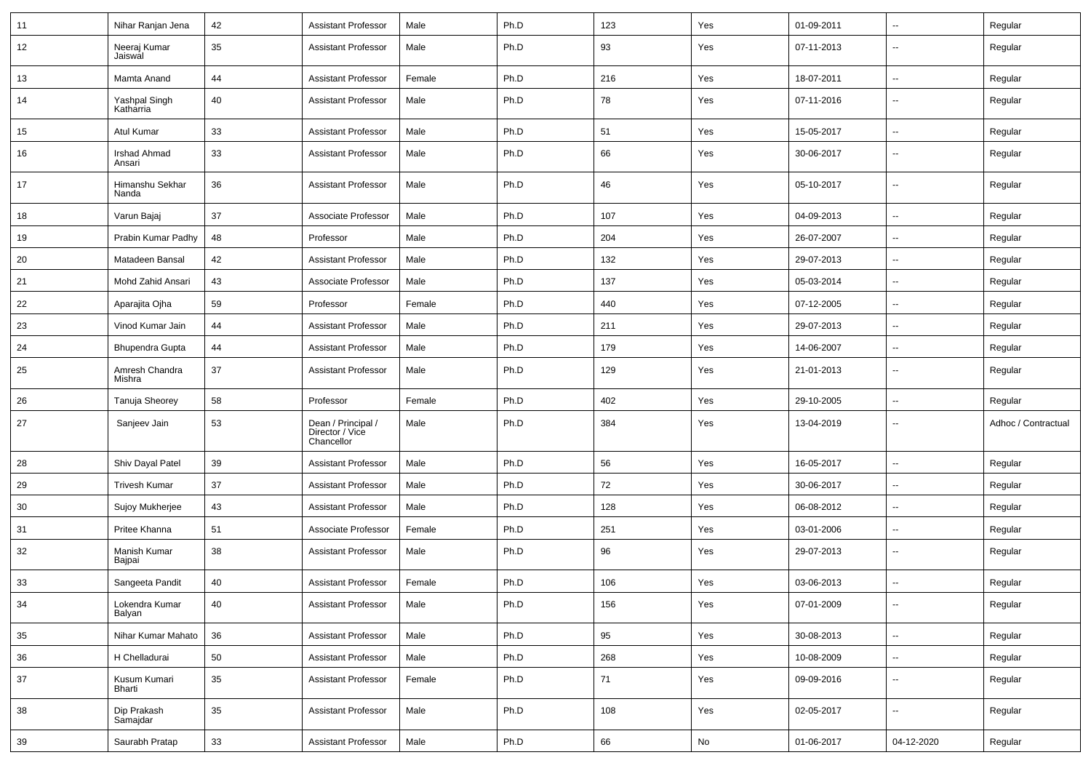| 11 | Nihar Ranjan Jena             | 42 | <b>Assistant Professor</b>                          | Male   | Ph.D | 123 | Yes | 01-09-2011 | $\overline{\phantom{a}}$ | Regular             |
|----|-------------------------------|----|-----------------------------------------------------|--------|------|-----|-----|------------|--------------------------|---------------------|
| 12 | Neeraj Kumar<br>Jaiswal       | 35 | <b>Assistant Professor</b>                          | Male   | Ph.D | 93  | Yes | 07-11-2013 | −−                       | Regular             |
| 13 | Mamta Anand                   | 44 | <b>Assistant Professor</b>                          | Female | Ph.D | 216 | Yes | 18-07-2011 | ⊷.                       | Regular             |
| 14 | Yashpal Singh<br>Katharria    | 40 | <b>Assistant Professor</b>                          | Male   | Ph.D | 78  | Yes | 07-11-2016 | $\overline{\phantom{a}}$ | Regular             |
| 15 | <b>Atul Kumar</b>             | 33 | <b>Assistant Professor</b>                          | Male   | Ph.D | 51  | Yes | 15-05-2017 | ⊷.                       | Regular             |
| 16 | <b>Irshad Ahmad</b><br>Ansari | 33 | <b>Assistant Professor</b>                          | Male   | Ph.D | 66  | Yes | 30-06-2017 | -−                       | Regular             |
| 17 | Himanshu Sekhar<br>Nanda      | 36 | <b>Assistant Professor</b>                          | Male   | Ph.D | 46  | Yes | 05-10-2017 | $\overline{\phantom{a}}$ | Regular             |
| 18 | Varun Bajaj                   | 37 | Associate Professor                                 | Male   | Ph.D | 107 | Yes | 04-09-2013 | -−                       | Regular             |
| 19 | Prabin Kumar Padhy            | 48 | Professor                                           | Male   | Ph.D | 204 | Yes | 26-07-2007 | --                       | Regular             |
| 20 | Matadeen Bansal               | 42 | <b>Assistant Professor</b>                          | Male   | Ph.D | 132 | Yes | 29-07-2013 | Ξ.                       | Regular             |
| 21 | Mohd Zahid Ansari             | 43 | Associate Professor                                 | Male   | Ph.D | 137 | Yes | 05-03-2014 | $\overline{\phantom{a}}$ | Regular             |
| 22 | Aparajita Ojha                | 59 | Professor                                           | Female | Ph.D | 440 | Yes | 07-12-2005 | ⊶.                       | Regular             |
| 23 | Vinod Kumar Jain              | 44 | <b>Assistant Professor</b>                          | Male   | Ph.D | 211 | Yes | 29-07-2013 | $\overline{\phantom{a}}$ | Regular             |
| 24 | <b>Bhupendra Gupta</b>        | 44 | <b>Assistant Professor</b>                          | Male   | Ph.D | 179 | Yes | 14-06-2007 | --                       | Regular             |
| 25 | Amresh Chandra<br>Mishra      | 37 | <b>Assistant Professor</b>                          | Male   | Ph.D | 129 | Yes | 21-01-2013 | --                       | Regular             |
| 26 | Tanuja Sheorey                | 58 | Professor                                           | Female | Ph.D | 402 | Yes | 29-10-2005 | ⊷.                       | Regular             |
| 27 | Sanjeev Jain                  | 53 | Dean / Principal /<br>Director / Vice<br>Chancellor | Male   | Ph.D | 384 | Yes | 13-04-2019 | --                       | Adhoc / Contractual |
| 28 | Shiv Dayal Patel              | 39 | <b>Assistant Professor</b>                          | Male   | Ph.D | 56  | Yes | 16-05-2017 | н.                       | Regular             |
| 29 | <b>Trivesh Kumar</b>          | 37 | <b>Assistant Professor</b>                          | Male   | Ph.D | 72  | Yes | 30-06-2017 | -−                       | Regular             |
| 30 | Sujoy Mukherjee               | 43 | <b>Assistant Professor</b>                          | Male   | Ph.D | 128 | Yes | 06-08-2012 | $\overline{\phantom{a}}$ | Regular             |
| 31 | Pritee Khanna                 | 51 | Associate Professor                                 | Female | Ph.D | 251 | Yes | 03-01-2006 | ⊷.                       | Regular             |
| 32 | Manish Kumar<br>Bajpai        | 38 | <b>Assistant Professor</b>                          | Male   | Ph.D | 96  | Yes | 29-07-2013 | --                       | Regular             |
| 33 | Sangeeta Pandit               | 40 | <b>Assistant Professor</b>                          | Female | Ph.D | 106 | Yes | 03-06-2013 | --                       | Regular             |
| 34 | Lokendra Kumar<br>Balyan      | 40 | <b>Assistant Professor</b>                          | Male   | Ph.D | 156 | Yes | 07-01-2009 | $\overline{\phantom{a}}$ | Regular             |
| 35 | Nihar Kumar Mahato            | 36 | <b>Assistant Professor</b>                          | Male   | Ph.D | 95  | Yes | 30-08-2013 | Щ,                       | Regular             |
| 36 | H Chelladurai                 | 50 | <b>Assistant Professor</b>                          | Male   | Ph.D | 268 | Yes | 10-08-2009 | $\sim$                   | Regular             |
| 37 | Kusum Kumari<br>Bharti        | 35 | <b>Assistant Professor</b>                          | Female | Ph.D | 71  | Yes | 09-09-2016 | $\overline{\phantom{a}}$ | Regular             |
| 38 | Dip Prakash<br>Samajdar       | 35 | <b>Assistant Professor</b>                          | Male   | Ph.D | 108 | Yes | 02-05-2017 | ц.                       | Regular             |
| 39 | Saurabh Pratap                | 33 | <b>Assistant Professor</b>                          | Male   | Ph.D | 66  | No  | 01-06-2017 | 04-12-2020               | Regular             |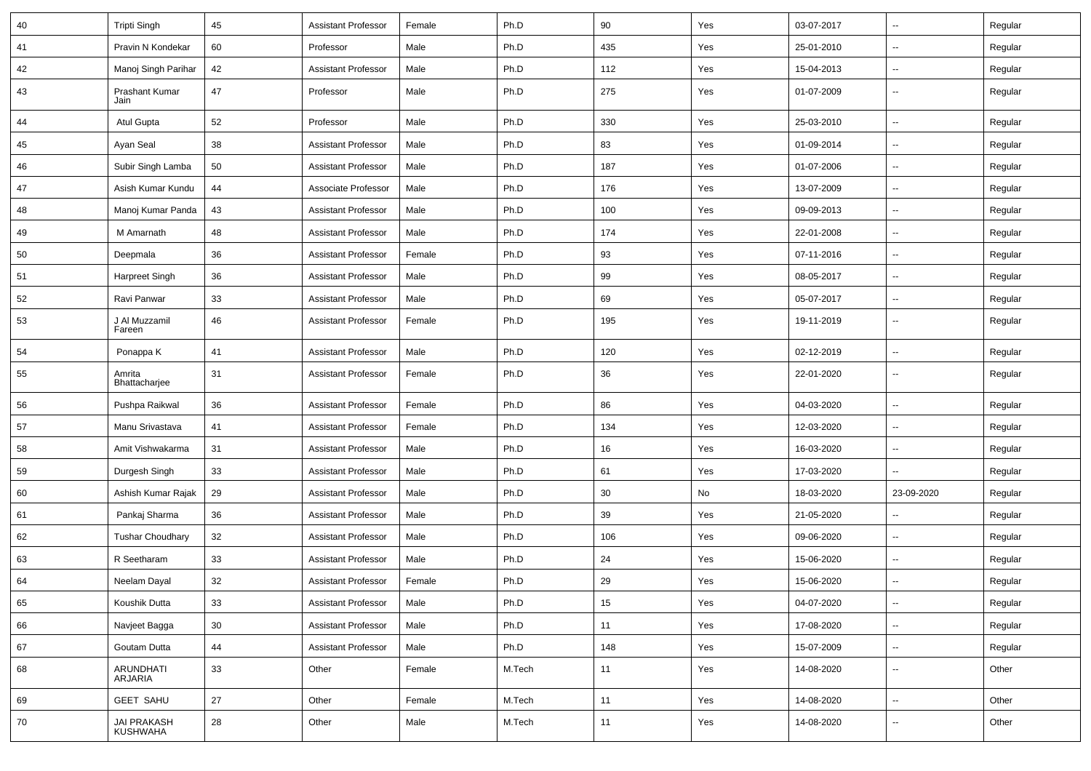| 40 | <b>Tripti Singh</b>     | 45 | <b>Assistant Professor</b> | Female | Ph.D   | 90  | Yes | 03-07-2017 | $\sim$                   | Regular |
|----|-------------------------|----|----------------------------|--------|--------|-----|-----|------------|--------------------------|---------|
| 41 | Pravin N Kondekar       | 60 | Professor                  | Male   | Ph.D   | 435 | Yes | 25-01-2010 | --                       | Regular |
| 42 | Manoj Singh Parihar     | 42 | <b>Assistant Professor</b> | Male   | Ph.D   | 112 | Yes | 15-04-2013 | $\overline{\phantom{a}}$ | Regular |
| 43 | Prashant Kumar<br>Jain  | 47 | Professor                  | Male   | Ph.D   | 275 | Yes | 01-07-2009 | $\overline{\phantom{a}}$ | Regular |
| 44 | Atul Gupta              | 52 | Professor                  | Male   | Ph.D   | 330 | Yes | 25-03-2010 | $\overline{\phantom{a}}$ | Regular |
| 45 | Ayan Seal               | 38 | <b>Assistant Professor</b> | Male   | Ph.D   | 83  | Yes | 01-09-2014 | -−                       | Regular |
| 46 | Subir Singh Lamba       | 50 | <b>Assistant Professor</b> | Male   | Ph.D   | 187 | Yes | 01-07-2006 | Ξ.                       | Regular |
| 47 | Asish Kumar Kundu       | 44 | Associate Professor        | Male   | Ph.D   | 176 | Yes | 13-07-2009 | $\overline{\phantom{a}}$ | Regular |
| 48 | Manoj Kumar Panda       | 43 | <b>Assistant Professor</b> | Male   | Ph.D   | 100 | Yes | 09-09-2013 | --                       | Regular |
| 49 | M Amarnath              | 48 | <b>Assistant Professor</b> | Male   | Ph.D   | 174 | Yes | 22-01-2008 | $\sim$                   | Regular |
| 50 | Deepmala                | 36 | <b>Assistant Professor</b> | Female | Ph.D   | 93  | Yes | 07-11-2016 | --                       | Regular |
| 51 | Harpreet Singh          | 36 | <b>Assistant Professor</b> | Male   | Ph.D   | 99  | Yes | 08-05-2017 | -−                       | Regular |
| 52 | Ravi Panwar             | 33 | <b>Assistant Professor</b> | Male   | Ph.D   | 69  | Yes | 05-07-2017 | $\sim$                   | Regular |
| 53 | J Al Muzzamil<br>Fareen | 46 | <b>Assistant Professor</b> | Female | Ph.D   | 195 | Yes | 19-11-2019 | $\overline{\phantom{a}}$ | Regular |
| 54 | Ponappa K               | 41 | <b>Assistant Professor</b> | Male   | Ph.D   | 120 | Yes | 02-12-2019 | $\sim$                   | Regular |
| 55 | Amrita<br>Bhattacharjee | 31 | <b>Assistant Professor</b> | Female | Ph.D   | 36  | Yes | 22-01-2020 | $\overline{\phantom{a}}$ | Regular |
| 56 | Pushpa Raikwal          | 36 | <b>Assistant Professor</b> | Female | Ph.D   | 86  | Yes | 04-03-2020 | --                       | Regular |
| 57 | Manu Srivastava         | 41 | <b>Assistant Professor</b> | Female | Ph.D   | 134 | Yes | 12-03-2020 | $\overline{\phantom{a}}$ | Regular |
| 58 | Amit Vishwakarma        | 31 | <b>Assistant Professor</b> | Male   | Ph.D   | 16  | Yes | 16-03-2020 | --                       | Regular |
| 59 | Durgesh Singh           | 33 | <b>Assistant Professor</b> | Male   | Ph.D   | 61  | Yes | 17-03-2020 | -−                       | Regular |
| 60 | Ashish Kumar Rajak      | 29 | <b>Assistant Professor</b> | Male   | Ph.D   | 30  | No  | 18-03-2020 | 23-09-2020               | Regular |
| 61 | Pankaj Sharma           | 36 | <b>Assistant Professor</b> | Male   | Ph.D   | 39  | Yes | 21-05-2020 | Ξ.                       | Regular |
| 62 | <b>Tushar Choudhary</b> | 32 | <b>Assistant Professor</b> | Male   | Ph.D   | 106 | Yes | 09-06-2020 | -−                       | Regular |
| 63 | R Seetharam             | 33 | <b>Assistant Professor</b> | Male   | Ph.D   | 24  | Yes | 15-06-2020 | Ξ.                       | Regular |
| 64 | Neelam Dayal            | 32 | <b>Assistant Professor</b> | Female | Ph.D   | 29  | Yes | 15-06-2020 |                          | Regular |
| 65 | Koushik Dutta           | 33 | <b>Assistant Professor</b> | Male   | Ph.D   | 15  | Yes | 04-07-2020 | Щ,                       | Regular |
| 66 | Navjeet Bagga           | 30 | <b>Assistant Professor</b> | Male   | Ph.D   | 11  | Yes | 17-08-2020 | Щ,                       | Regular |
| 67 | Goutam Dutta            | 44 | <b>Assistant Professor</b> | Male   | Ph.D   | 148 | Yes | 15-07-2009 | Щ,                       | Regular |
| 68 | ARUNDHATI<br>ARJARIA    | 33 | Other                      | Female | M.Tech | 11  | Yes | 14-08-2020 | $\overline{\phantom{a}}$ | Other   |
| 69 | <b>GEET SAHU</b>        | 27 | Other                      | Female | M.Tech | 11  | Yes | 14-08-2020 | Щ,                       | Other   |
| 70 | JAI PRAKASH<br>KUSHWAHA | 28 | Other                      | Male   | M.Tech | 11  | Yes | 14-08-2020 | ⊷                        | Other   |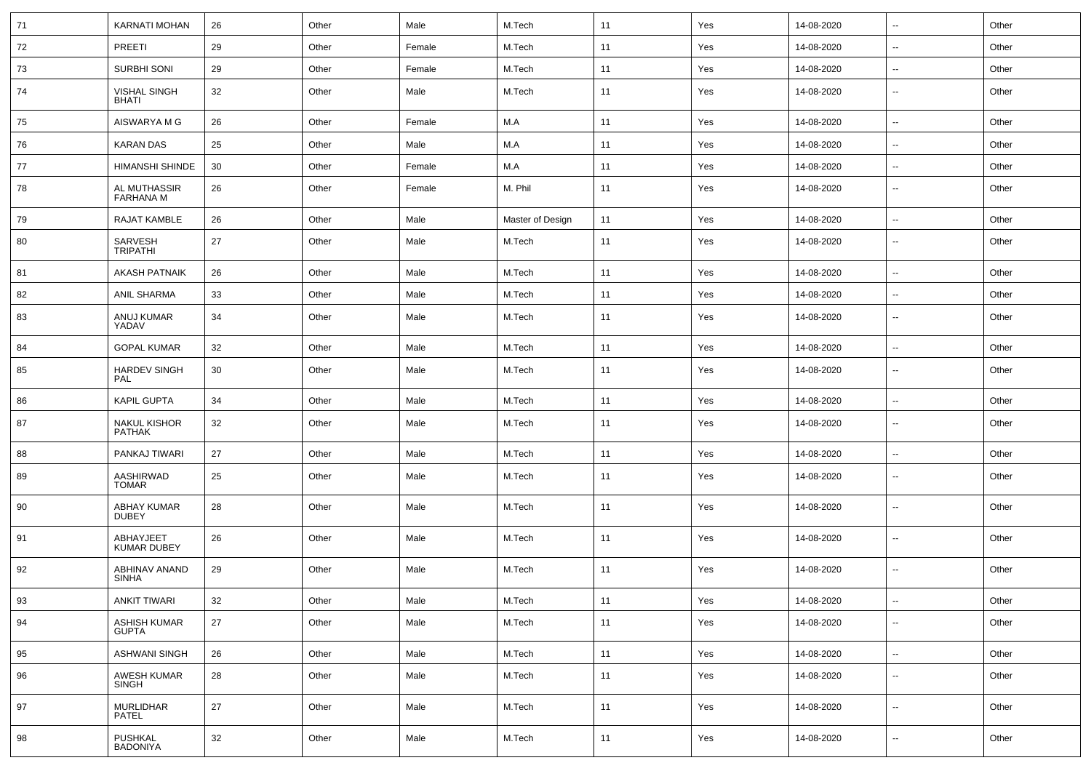| 71 | <b>KARNATI MOHAN</b>                 | 26 | Other | Male   | M.Tech           | 11 | Yes | 14-08-2020 | $\sim$                   | Other |
|----|--------------------------------------|----|-------|--------|------------------|----|-----|------------|--------------------------|-------|
| 72 | PREETI                               | 29 | Other | Female | M.Tech           | 11 | Yes | 14-08-2020 | $\sim$                   | Other |
| 73 | SURBHI SONI                          | 29 | Other | Female | M.Tech           | 11 | Yes | 14-08-2020 | $\sim$                   | Other |
| 74 | <b>VISHAL SINGH</b><br>BHATI         | 32 | Other | Male   | M.Tech           | 11 | Yes | 14-08-2020 | $\overline{\phantom{a}}$ | Other |
| 75 | AISWARYA M G                         | 26 | Other | Female | M.A              | 11 | Yes | 14-08-2020 | $\overline{\phantom{a}}$ | Other |
| 76 | <b>KARAN DAS</b>                     | 25 | Other | Male   | M.A              | 11 | Yes | 14-08-2020 | $\overline{\phantom{a}}$ | Other |
| 77 | HIMANSHI SHINDE                      | 30 | Other | Female | M.A              | 11 | Yes | 14-08-2020 | $\sim$                   | Other |
| 78 | AL MUTHASSIR<br><b>FARHANA M</b>     | 26 | Other | Female | M. Phil          | 11 | Yes | 14-08-2020 | $\sim$                   | Other |
| 79 | RAJAT KAMBLE                         | 26 | Other | Male   | Master of Design | 11 | Yes | 14-08-2020 | $\sim$                   | Other |
| 80 | SARVESH<br><b>TRIPATHI</b>           | 27 | Other | Male   | M.Tech           | 11 | Yes | 14-08-2020 | $\sim$                   | Other |
| 81 | <b>AKASH PATNAIK</b>                 | 26 | Other | Male   | M.Tech           | 11 | Yes | 14-08-2020 | $\sim$                   | Other |
| 82 | ANIL SHARMA                          | 33 | Other | Male   | M.Tech           | 11 | Yes | 14-08-2020 | $\sim$                   | Other |
| 83 | ANUJ KUMAR<br>YADAV                  | 34 | Other | Male   | M.Tech           | 11 | Yes | 14-08-2020 | $\overline{\phantom{a}}$ | Other |
| 84 | <b>GOPAL KUMAR</b>                   | 32 | Other | Male   | M.Tech           | 11 | Yes | 14-08-2020 | $\sim$                   | Other |
| 85 | <b>HARDEV SINGH</b><br>PAL           | 30 | Other | Male   | M.Tech           | 11 | Yes | 14-08-2020 | $\overline{\phantom{a}}$ | Other |
| 86 | <b>KAPIL GUPTA</b>                   | 34 | Other | Male   | M.Tech           | 11 | Yes | 14-08-2020 | $\sim$                   | Other |
| 87 | <b>NAKUL KISHOR</b><br><b>PATHAK</b> | 32 | Other | Male   | M.Tech           | 11 | Yes | 14-08-2020 | $\overline{\phantom{a}}$ | Other |
| 88 | PANKAJ TIWARI                        | 27 | Other | Male   | M.Tech           | 11 | Yes | 14-08-2020 | $\sim$                   | Other |
| 89 | AASHIRWAD<br><b>TOMAR</b>            | 25 | Other | Male   | M.Tech           | 11 | Yes | 14-08-2020 | $\sim$                   | Other |
| 90 | <b>ABHAY KUMAR</b><br><b>DUBEY</b>   | 28 | Other | Male   | M.Tech           | 11 | Yes | 14-08-2020 | $\sim$                   | Other |
| 91 | ABHAYJEET<br><b>KUMAR DUBEY</b>      | 26 | Other | Male   | M.Tech           | 11 | Yes | 14-08-2020 | $\sim$                   | Other |
| 92 | ABHINAV ANAND<br><b>SINHA</b>        | 29 | Other | Male   | M.Tech           | 11 | Yes | 14-08-2020 | $\overline{\phantom{a}}$ | Other |
| 93 | <b>ANKIT TIWARI</b>                  | 32 | Other | Male   | M.Tech           | 11 | Yes | 14-08-2020 | $\sim$                   | Other |
| 94 | ASHISH KUMAR<br><b>GUPTA</b>         | 27 | Other | Male   | M.Tech           | 11 | Yes | 14-08-2020 | $\sim$                   | Other |
| 95 | <b>ASHWANI SINGH</b>                 | 26 | Other | Male   | M.Tech           | 11 | Yes | 14-08-2020 | $\sim$                   | Other |
| 96 | AWESH KUMAR<br>SINGH                 | 28 | Other | Male   | M.Tech           | 11 | Yes | 14-08-2020 | --                       | Other |
| 97 | <b>MURLIDHAR</b><br>PATEL            | 27 | Other | Male   | M.Tech           | 11 | Yes | 14-08-2020 | Ξ.                       | Other |
| 98 | PUSHKAL<br>BADONIYA                  | 32 | Other | Male   | M.Tech           | 11 | Yes | 14-08-2020 | --                       | Other |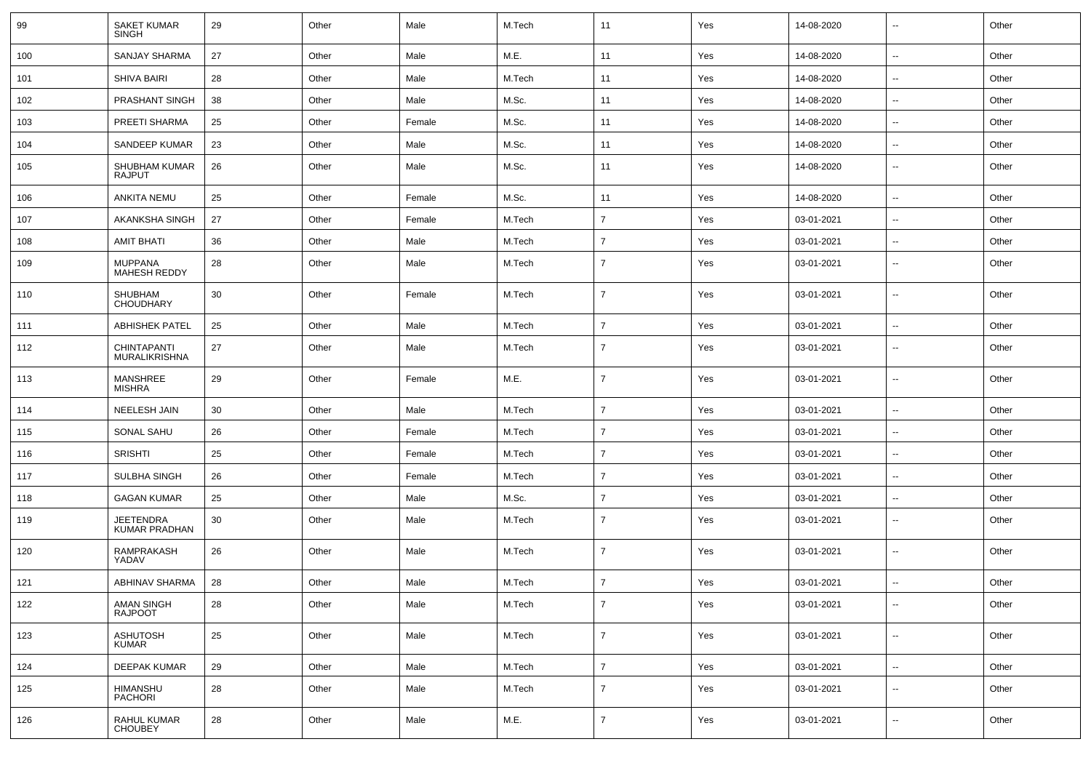| 99  | <b>SAKET KUMAR</b><br>SINGH           | 29 | Other | Male   | M.Tech | 11             | Yes | 14-08-2020 | $\overline{\phantom{a}}$ | Other |
|-----|---------------------------------------|----|-------|--------|--------|----------------|-----|------------|--------------------------|-------|
| 100 | <b>SANJAY SHARMA</b>                  | 27 | Other | Male   | M.E.   | 11             | Yes | 14-08-2020 | н.                       | Other |
| 101 | <b>SHIVA BAIRI</b>                    | 28 | Other | Male   | M.Tech | 11             | Yes | 14-08-2020 | ⊷.                       | Other |
| 102 | PRASHANT SINGH                        | 38 | Other | Male   | M.Sc.  | 11             | Yes | 14-08-2020 | $\overline{\phantom{a}}$ | Other |
| 103 | PREETI SHARMA                         | 25 | Other | Female | M.Sc.  | 11             | Yes | 14-08-2020 | $\overline{\phantom{a}}$ | Other |
| 104 | SANDEEP KUMAR                         | 23 | Other | Male   | M.Sc.  | 11             | Yes | 14-08-2020 | --                       | Other |
| 105 | <b>SHUBHAM KUMAR</b><br><b>RAJPUT</b> | 26 | Other | Male   | M.Sc.  | 11             | Yes | 14-08-2020 | ⊷.                       | Other |
| 106 | <b>ANKITA NEMU</b>                    | 25 | Other | Female | M.Sc.  | 11             | Yes | 14-08-2020 | $\overline{\phantom{a}}$ | Other |
| 107 | AKANKSHA SINGH                        | 27 | Other | Female | M.Tech | $\overline{7}$ | Yes | 03-01-2021 | ⊷.                       | Other |
| 108 | <b>AMIT BHATI</b>                     | 36 | Other | Male   | M.Tech | $\overline{7}$ | Yes | 03-01-2021 | н.                       | Other |
| 109 | <b>MUPPANA</b><br>MAHESH REDDY        | 28 | Other | Male   | M.Tech | $\overline{7}$ | Yes | 03-01-2021 | ⊷.                       | Other |
| 110 | SHUBHAM<br><b>CHOUDHARY</b>           | 30 | Other | Female | M.Tech | $\overline{7}$ | Yes | 03-01-2021 | $\overline{\phantom{a}}$ | Other |
| 111 | <b>ABHISHEK PATEL</b>                 | 25 | Other | Male   | M.Tech | $\overline{7}$ | Yes | 03-01-2021 | ⊷.                       | Other |
| 112 | CHINTAPANTI<br><b>MURALIKRISHNA</b>   | 27 | Other | Male   | M.Tech | 7              | Yes | 03-01-2021 | $\overline{\phantom{a}}$ | Other |
| 113 | <b>MANSHREE</b><br>MISHRA             | 29 | Other | Female | M.E.   | $\overline{7}$ | Yes | 03-01-2021 | --                       | Other |
| 114 | NEELESH JAIN                          | 30 | Other | Male   | M.Tech | $\overline{7}$ | Yes | 03-01-2021 | $\overline{\phantom{a}}$ | Other |
| 115 | SONAL SAHU                            | 26 | Other | Female | M.Tech | $\overline{7}$ | Yes | 03-01-2021 | --                       | Other |
| 116 | <b>SRISHTI</b>                        | 25 | Other | Female | M.Tech | $\overline{7}$ | Yes | 03-01-2021 | $\overline{\phantom{a}}$ | Other |
| 117 | SULBHA SINGH                          | 26 | Other | Female | M.Tech | $\overline{7}$ | Yes | 03-01-2021 | ⊷.                       | Other |
| 118 | <b>GAGAN KUMAR</b>                    | 25 | Other | Male   | M.Sc.  | $\overline{7}$ | Yes | 03-01-2021 | н.                       | Other |
| 119 | JEETENDRA<br><b>KUMAR PRADHAN</b>     | 30 | Other | Male   | M.Tech | $\overline{7}$ | Yes | 03-01-2021 | $\overline{\phantom{a}}$ | Other |
| 120 | RAMPRAKASH<br>YADAV                   | 26 | Other | Male   | M.Tech | $\overline{7}$ | Yes | 03-01-2021 | $\overline{\phantom{a}}$ | Other |
| 121 | ABHINAV SHARMA                        | 28 | Other | Male   | M.Tech | $\overline{7}$ | Yes | 03-01-2021 | $\overline{a}$           | Other |
| 122 | AMAN SINGH<br>RAJPOOT                 | 28 | Other | Male   | M.Tech | $\overline{7}$ | Yes | 03-01-2021 | $\overline{\phantom{a}}$ | Other |
| 123 | <b>ASHUTOSH</b><br><b>KUMAR</b>       | 25 | Other | Male   | M.Tech | $\overline{7}$ | Yes | 03-01-2021 | $\sim$                   | Other |
| 124 | DEEPAK KUMAR                          | 29 | Other | Male   | M.Tech | $\overline{7}$ | Yes | 03-01-2021 | $\overline{\phantom{a}}$ | Other |
| 125 | HIMANSHU<br>PACHORI                   | 28 | Other | Male   | M.Tech | $\overline{7}$ | Yes | 03-01-2021 | ⊷.                       | Other |
| 126 | RAHUL KUMAR<br><b>CHOUBEY</b>         | 28 | Other | Male   | M.E.   | $\overline{7}$ | Yes | 03-01-2021 | н.                       | Other |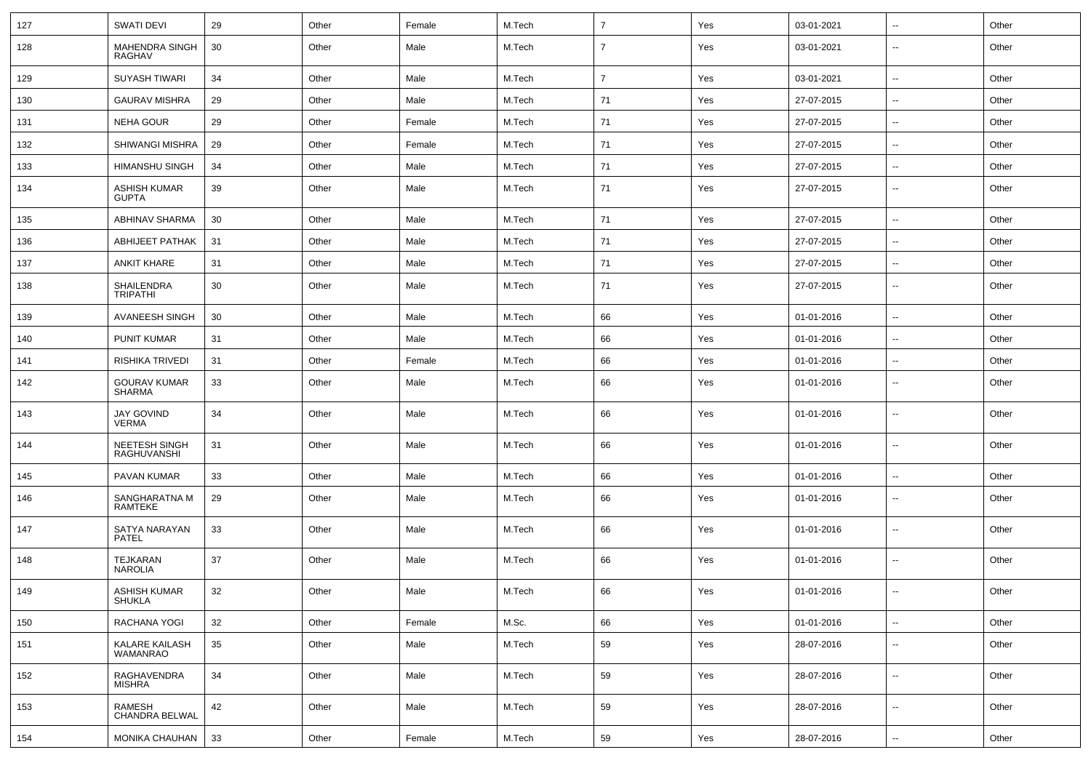| 127 | <b>SWATI DEVI</b>                    | 29 | Other | Female | M.Tech | $\overline{7}$ | Yes | 03-01-2021 | $\sim$                   | Other |
|-----|--------------------------------------|----|-------|--------|--------|----------------|-----|------------|--------------------------|-------|
| 128 | MAHENDRA SINGH<br>RAGHAV             | 30 | Other | Male   | M.Tech | $\overline{7}$ | Yes | 03-01-2021 | $\overline{\phantom{a}}$ | Other |
| 129 | <b>SUYASH TIWARI</b>                 | 34 | Other | Male   | M.Tech | $\overline{7}$ | Yes | 03-01-2021 | $\overline{\phantom{a}}$ | Other |
| 130 | <b>GAURAV MISHRA</b>                 | 29 | Other | Male   | M.Tech | 71             | Yes | 27-07-2015 | $\sim$                   | Other |
| 131 | <b>NEHA GOUR</b>                     | 29 | Other | Female | M.Tech | 71             | Yes | 27-07-2015 | $\overline{\phantom{a}}$ | Other |
| 132 | SHIWANGI MISHRA                      | 29 | Other | Female | M.Tech | 71             | Yes | 27-07-2015 | $\sim$                   | Other |
| 133 | <b>HIMANSHU SINGH</b>                | 34 | Other | Male   | M.Tech | 71             | Yes | 27-07-2015 | $\sim$                   | Other |
| 134 | <b>ASHISH KUMAR</b><br><b>GUPTA</b>  | 39 | Other | Male   | M.Tech | 71             | Yes | 27-07-2015 | $\overline{\phantom{a}}$ | Other |
| 135 | <b>ABHINAV SHARMA</b>                | 30 | Other | Male   | M.Tech | 71             | Yes | 27-07-2015 | $\overline{\phantom{a}}$ | Other |
| 136 | ABHIJEET PATHAK                      | 31 | Other | Male   | M.Tech | 71             | Yes | 27-07-2015 | $\overline{\phantom{a}}$ | Other |
| 137 | <b>ANKIT KHARE</b>                   | 31 | Other | Male   | M.Tech | 71             | Yes | 27-07-2015 | $\sim$                   | Other |
| 138 | SHAILENDRA<br><b>TRIPATHI</b>        | 30 | Other | Male   | M.Tech | 71             | Yes | 27-07-2015 | $\overline{\phantom{a}}$ | Other |
| 139 | AVANEESH SINGH                       | 30 | Other | Male   | M.Tech | 66             | Yes | 01-01-2016 | $\overline{a}$           | Other |
| 140 | <b>PUNIT KUMAR</b>                   | 31 | Other | Male   | M.Tech | 66             | Yes | 01-01-2016 | --                       | Other |
| 141 | RISHIKA TRIVEDI                      | 31 | Other | Female | M.Tech | 66             | Yes | 01-01-2016 | $\sim$                   | Other |
| 142 | <b>GOURAV KUMAR</b><br><b>SHARMA</b> | 33 | Other | Male   | M.Tech | 66             | Yes | 01-01-2016 | $\overline{\phantom{a}}$ | Other |
| 143 | <b>JAY GOVIND</b><br><b>VERMA</b>    | 34 | Other | Male   | M.Tech | 66             | Yes | 01-01-2016 | $\sim$                   | Other |
| 144 | <b>NEETESH SINGH</b><br>RAGHUVANSHI  | 31 | Other | Male   | M.Tech | 66             | Yes | 01-01-2016 | $\overline{\phantom{a}}$ | Other |
| 145 | PAVAN KUMAR                          | 33 | Other | Male   | M.Tech | 66             | Yes | 01-01-2016 | $\sim$                   | Other |
| 146 | SANGHARATNA M<br>RAMTEKE             | 29 | Other | Male   | M.Tech | 66             | Yes | 01-01-2016 | --                       | Other |
| 147 | SATYA NARAYAN<br><b>PATEL</b>        | 33 | Other | Male   | M.Tech | 66             | Yes | 01-01-2016 | Ξ.                       | Other |
| 148 | <b>TEJKARAN</b><br><b>NAROLIA</b>    | 37 | Other | Male   | M.Tech | 66             | Yes | 01-01-2016 | --                       | Other |
| 149 | <b>ASHISH KUMAR</b><br><b>SHUKLA</b> | 32 | Other | Male   | M.Tech | 66             | Yes | 01-01-2016 | $\sim$                   | Other |
| 150 | RACHANA YOGI                         | 32 | Other | Female | M.Sc.  | 66             | Yes | 01-01-2016 | --                       | Other |
| 151 | KALARE KAILASH<br><b>WAMANRAO</b>    | 35 | Other | Male   | M.Tech | 59             | Yes | 28-07-2016 | $\overline{\phantom{a}}$ | Other |
| 152 | RAGHAVENDRA<br><b>MISHRA</b>         | 34 | Other | Male   | M.Tech | 59             | Yes | 28-07-2016 | u.                       | Other |
| 153 | RAMESH<br>CHANDRA BELWAL             | 42 | Other | Male   | M.Tech | 59             | Yes | 28-07-2016 | $\overline{a}$           | Other |
| 154 | MONIKA CHAUHAN                       | 33 | Other | Female | M.Tech | 59             | Yes | 28-07-2016 | $\overline{\phantom{a}}$ | Other |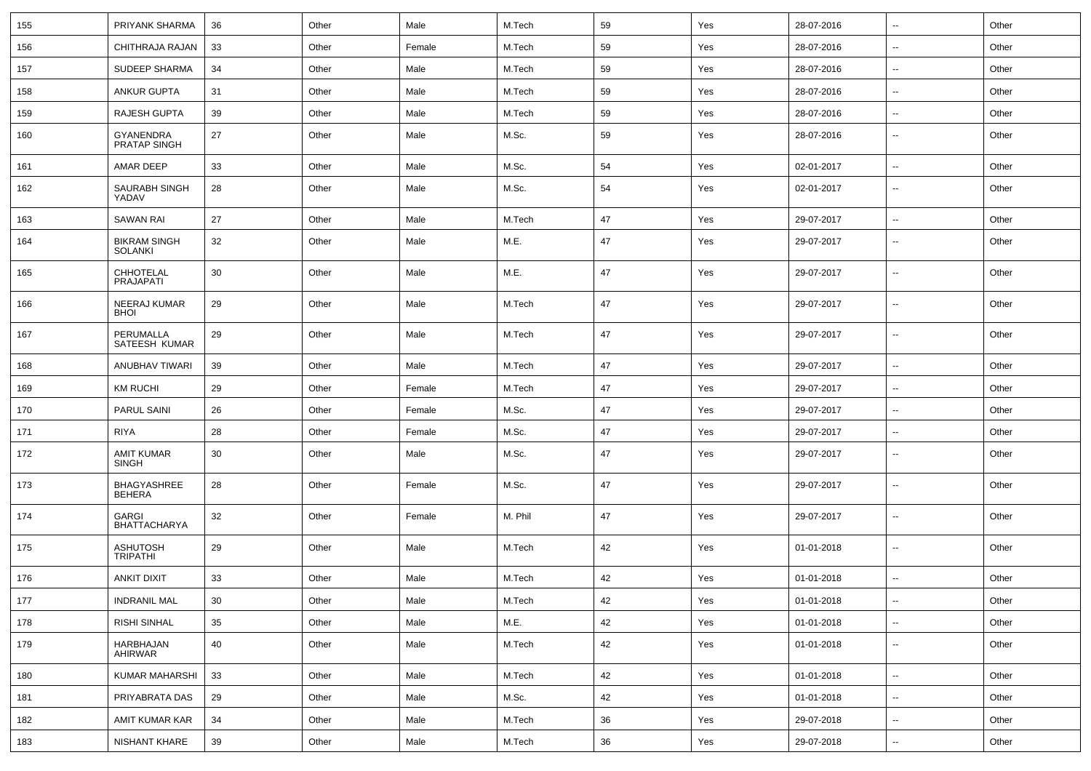| 155 | PRIYANK SHARMA                        | 36 | Other | Male   | M.Tech  | 59 | Yes | 28-07-2016 | $\sim$                   | Other |
|-----|---------------------------------------|----|-------|--------|---------|----|-----|------------|--------------------------|-------|
| 156 | CHITHRAJA RAJAN                       | 33 | Other | Female | M.Tech  | 59 | Yes | 28-07-2016 | $\sim$                   | Other |
| 157 | SUDEEP SHARMA                         | 34 | Other | Male   | M.Tech  | 59 | Yes | 28-07-2016 | $\mathbf{u}$             | Other |
| 158 | <b>ANKUR GUPTA</b>                    | 31 | Other | Male   | M.Tech  | 59 | Yes | 28-07-2016 | $\overline{\phantom{a}}$ | Other |
| 159 | RAJESH GUPTA                          | 39 | Other | Male   | M.Tech  | 59 | Yes | 28-07-2016 | $\mathbf{u}$             | Other |
| 160 | GYANENDRA<br>PRATAP SINGH             | 27 | Other | Male   | M.Sc.   | 59 | Yes | 28-07-2016 | $\mathbf{u}$             | Other |
| 161 | AMAR DEEP                             | 33 | Other | Male   | M.Sc.   | 54 | Yes | 02-01-2017 | $\sim$                   | Other |
| 162 | SAURABH SINGH<br>YADAV                | 28 | Other | Male   | M.Sc.   | 54 | Yes | 02-01-2017 | $\sim$                   | Other |
| 163 | <b>SAWAN RAI</b>                      | 27 | Other | Male   | M.Tech  | 47 | Yes | 29-07-2017 | $\sim$                   | Other |
| 164 | <b>BIKRAM SINGH</b><br><b>SOLANKI</b> | 32 | Other | Male   | M.E.    | 47 | Yes | 29-07-2017 | $\sim$                   | Other |
| 165 | CHHOTELAL<br><b>PRAJAPATI</b>         | 30 | Other | Male   | M.E.    | 47 | Yes | 29-07-2017 | $\sim$                   | Other |
| 166 | NEERAJ KUMAR<br><b>BHOI</b>           | 29 | Other | Male   | M.Tech  | 47 | Yes | 29-07-2017 | $\sim$                   | Other |
| 167 | PERUMALLA<br>SATEESH KUMAR            | 29 | Other | Male   | M.Tech  | 47 | Yes | 29-07-2017 | $\sim$                   | Other |
| 168 | ANUBHAV TIWARI                        | 39 | Other | Male   | M.Tech  | 47 | Yes | 29-07-2017 | $\sim$                   | Other |
| 169 | <b>KM RUCHI</b>                       | 29 | Other | Female | M.Tech  | 47 | Yes | 29-07-2017 | $\overline{\phantom{a}}$ | Other |
| 170 | PARUL SAINI                           | 26 | Other | Female | M.Sc.   | 47 | Yes | 29-07-2017 | $\overline{\phantom{a}}$ | Other |
| 171 | <b>RIYA</b>                           | 28 | Other | Female | M.Sc.   | 47 | Yes | 29-07-2017 | $\overline{\phantom{a}}$ | Other |
| 172 | <b>AMIT KUMAR</b><br><b>SINGH</b>     | 30 | Other | Male   | M.Sc.   | 47 | Yes | 29-07-2017 | $\overline{\phantom{a}}$ | Other |
| 173 | BHAGYASHREE<br><b>BEHERA</b>          | 28 | Other | Female | M.Sc.   | 47 | Yes | 29-07-2017 | $\overline{\phantom{a}}$ | Other |
| 174 | <b>GARGI</b><br><b>BHATTACHARYA</b>   | 32 | Other | Female | M. Phil | 47 | Yes | 29-07-2017 | $\overline{\phantom{a}}$ | Other |
| 175 | ASHUTOSH<br>TRIPATHI                  | 29 | Other | Male   | M.Tech  | 42 | Yes | 01-01-2018 | $\overline{\phantom{a}}$ | Other |
| 176 | <b>ANKIT DIXIT</b>                    | 33 | Other | Male   | M.Tech  | 42 | Yes | 01-01-2018 | $\overline{\phantom{a}}$ | Other |
| 177 | <b>INDRANIL MAL</b>                   | 30 | Other | Male   | M.Tech  | 42 | Yes | 01-01-2018 | $\sim$                   | Other |
| 178 | <b>RISHI SINHAL</b>                   | 35 | Other | Male   | M.E.    | 42 | Yes | 01-01-2018 | $\sim$                   | Other |
| 179 | HARBHAJAN<br>AHIRWAR                  | 40 | Other | Male   | M.Tech  | 42 | Yes | 01-01-2018 | $\sim$                   | Other |
| 180 | KUMAR MAHARSHI                        | 33 | Other | Male   | M.Tech  | 42 | Yes | 01-01-2018 | $\sim$                   | Other |
| 181 | PRIYABRATA DAS                        | 29 | Other | Male   | M.Sc.   | 42 | Yes | 01-01-2018 | $\sim$                   | Other |
| 182 | AMIT KUMAR KAR                        | 34 | Other | Male   | M.Tech  | 36 | Yes | 29-07-2018 | $\sim$                   | Other |
| 183 | NISHANT KHARE                         | 39 | Other | Male   | M.Tech  | 36 | Yes | 29-07-2018 | $\sim$                   | Other |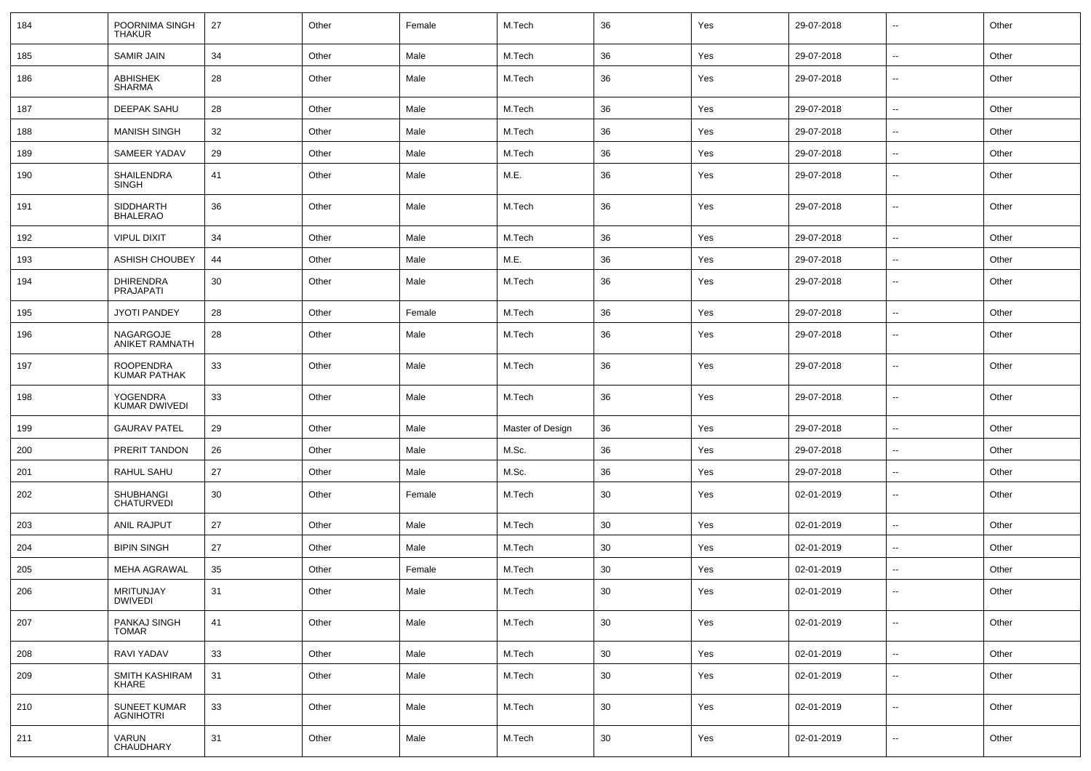| 184 | POORNIMA SINGH<br>THAKUR                | 27 | Other | Female | M.Tech           | 36 | Yes | 29-07-2018 | $\mathbf{u}$             | Other |
|-----|-----------------------------------------|----|-------|--------|------------------|----|-----|------------|--------------------------|-------|
| 185 | <b>SAMIR JAIN</b>                       | 34 | Other | Male   | M.Tech           | 36 | Yes | 29-07-2018 | $\mathbf{u}$             | Other |
| 186 | ABHISHEK<br><b>SHARMA</b>               | 28 | Other | Male   | M.Tech           | 36 | Yes | 29-07-2018 | $\sim$                   | Other |
| 187 | <b>DEEPAK SAHU</b>                      | 28 | Other | Male   | M.Tech           | 36 | Yes | 29-07-2018 | $\sim$                   | Other |
| 188 | <b>MANISH SINGH</b>                     | 32 | Other | Male   | M.Tech           | 36 | Yes | 29-07-2018 | $\overline{\phantom{a}}$ | Other |
| 189 | SAMEER YADAV                            | 29 | Other | Male   | M.Tech           | 36 | Yes | 29-07-2018 | $\overline{\phantom{a}}$ | Other |
| 190 | SHAILENDRA<br><b>SINGH</b>              | 41 | Other | Male   | M.E.             | 36 | Yes | 29-07-2018 | $\overline{\phantom{a}}$ | Other |
| 191 | <b>SIDDHARTH</b><br><b>BHALERAO</b>     | 36 | Other | Male   | M.Tech           | 36 | Yes | 29-07-2018 | $\overline{\phantom{a}}$ | Other |
| 192 | <b>VIPUL DIXIT</b>                      | 34 | Other | Male   | M.Tech           | 36 | Yes | 29-07-2018 | $\sim$                   | Other |
| 193 | ASHISH CHOUBEY                          | 44 | Other | Male   | M.E.             | 36 | Yes | 29-07-2018 | $\overline{\phantom{a}}$ | Other |
| 194 | <b>DHIRENDRA</b><br><b>PRAJAPATI</b>    | 30 | Other | Male   | M.Tech           | 36 | Yes | 29-07-2018 | $\overline{\phantom{a}}$ | Other |
| 195 | <b>JYOTI PANDEY</b>                     | 28 | Other | Female | M.Tech           | 36 | Yes | 29-07-2018 | $\mathbf{u}$             | Other |
| 196 | NAGARGOJE<br>ANIKET RAMNATH             | 28 | Other | Male   | M.Tech           | 36 | Yes | 29-07-2018 | $\sim$                   | Other |
| 197 | <b>ROOPENDRA</b><br><b>KUMAR PATHAK</b> | 33 | Other | Male   | M.Tech           | 36 | Yes | 29-07-2018 | $\sim$                   | Other |
| 198 | YOGENDRA<br>KUMAR DWIVEDI               | 33 | Other | Male   | M.Tech           | 36 | Yes | 29-07-2018 | $\sim$                   | Other |
| 199 | <b>GAURAV PATEL</b>                     | 29 | Other | Male   | Master of Design | 36 | Yes | 29-07-2018 | $\sim$                   | Other |
| 200 | PRERIT TANDON                           | 26 | Other | Male   | M.Sc.            | 36 | Yes | 29-07-2018 | $\sim$                   | Other |
| 201 | RAHUL SAHU                              | 27 | Other | Male   | M.Sc.            | 36 | Yes | 29-07-2018 | $\overline{\phantom{a}}$ | Other |
| 202 | <b>SHUBHANGI</b><br><b>CHATURVEDI</b>   | 30 | Other | Female | M.Tech           | 30 | Yes | 02-01-2019 | $\overline{\phantom{a}}$ | Other |
| 203 | ANIL RAJPUT                             | 27 | Other | Male   | M.Tech           | 30 | Yes | 02-01-2019 | $\overline{\phantom{a}}$ | Other |
| 204 | <b>BIPIN SINGH</b>                      | 27 | Other | Male   | M.Tech           | 30 | Yes | 02-01-2019 | $\overline{\phantom{a}}$ | Other |
| 205 | <b>MEHA AGRAWAL</b>                     | 35 | Other | Female | M.Tech           | 30 | Yes | 02-01-2019 | $\mathbf{u}$             | Other |
| 206 | <b>MRITUNJAY</b><br><b>DWIVEDI</b>      | 31 | Other | Male   | M.Tech           | 30 | Yes | 02-01-2019 | $\sim$                   | Other |
| 207 | PANKAJ SINGH<br><b>TOMAR</b>            | 41 | Other | Male   | M.Tech           | 30 | Yes | 02-01-2019 | $\overline{\phantom{a}}$ | Other |
| 208 | RAVI YADAV                              | 33 | Other | Male   | M.Tech           | 30 | Yes | 02-01-2019 | $\sim$                   | Other |
| 209 | SMITH KASHIRAM<br>KHARE                 | 31 | Other | Male   | M.Tech           | 30 | Yes | 02-01-2019 | $\overline{\phantom{a}}$ | Other |
| 210 | SUNEET KUMAR<br><b>AGNIHOTRI</b>        | 33 | Other | Male   | M.Tech           | 30 | Yes | 02-01-2019 | $\overline{\phantom{a}}$ | Other |
| 211 | VARUN<br>CHAUDHARY                      | 31 | Other | Male   | M.Tech           | 30 | Yes | 02-01-2019 | --                       | Other |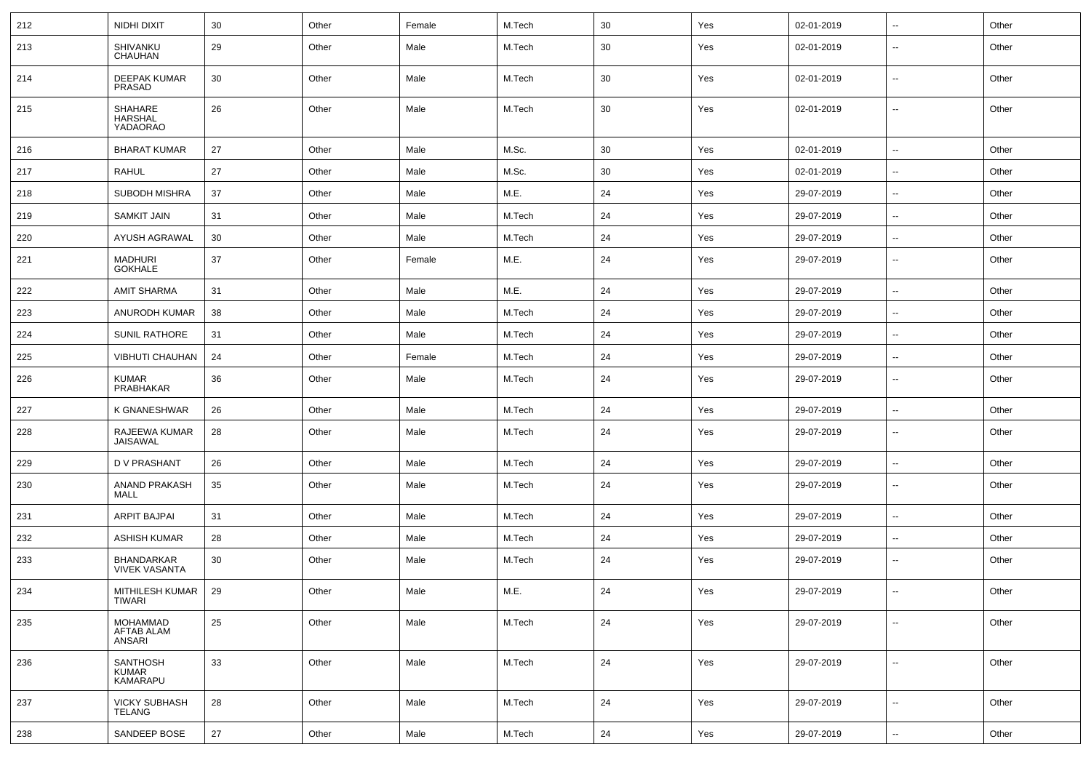| 212 | NIDHI DIXIT                                    | 30 | Other | Female | M.Tech | 30 | Yes | 02-01-2019 | $\sim$                   | Other |
|-----|------------------------------------------------|----|-------|--------|--------|----|-----|------------|--------------------------|-------|
| 213 | SHIVANKU<br><b>CHAUHAN</b>                     | 29 | Other | Male   | M.Tech | 30 | Yes | 02-01-2019 | --                       | Other |
| 214 | <b>DEEPAK KUMAR</b><br>PRASAD                  | 30 | Other | Male   | M.Tech | 30 | Yes | 02-01-2019 | $\overline{\phantom{a}}$ | Other |
| 215 | SHAHARE<br><b>HARSHAL</b><br>YADAORAO          | 26 | Other | Male   | M.Tech | 30 | Yes | 02-01-2019 | --                       | Other |
| 216 | <b>BHARAT KUMAR</b>                            | 27 | Other | Male   | M.Sc.  | 30 | Yes | 02-01-2019 | $\overline{\phantom{a}}$ | Other |
| 217 | <b>RAHUL</b>                                   | 27 | Other | Male   | M.Sc.  | 30 | Yes | 02-01-2019 | н.                       | Other |
| 218 | <b>SUBODH MISHRA</b>                           | 37 | Other | Male   | M.E.   | 24 | Yes | 29-07-2019 | ⊷.                       | Other |
| 219 | <b>SAMKIT JAIN</b>                             | 31 | Other | Male   | M.Tech | 24 | Yes | 29-07-2019 | --                       | Other |
| 220 | AYUSH AGRAWAL                                  | 30 | Other | Male   | M.Tech | 24 | Yes | 29-07-2019 | --                       | Other |
| 221 | <b>MADHURI</b><br><b>GOKHALE</b>               | 37 | Other | Female | M.E.   | 24 | Yes | 29-07-2019 | ⊷.                       | Other |
| 222 | <b>AMIT SHARMA</b>                             | 31 | Other | Male   | M.E.   | 24 | Yes | 29-07-2019 | Ξ.                       | Other |
| 223 | ANURODH KUMAR                                  | 38 | Other | Male   | M.Tech | 24 | Yes | 29-07-2019 | ⊷.                       | Other |
| 224 | <b>SUNIL RATHORE</b>                           | 31 | Other | Male   | M.Tech | 24 | Yes | 29-07-2019 | $\overline{\phantom{a}}$ | Other |
| 225 | VIBHUTI CHAUHAN                                | 24 | Other | Female | M.Tech | 24 | Yes | 29-07-2019 | ⊷.                       | Other |
| 226 | <b>KUMAR</b><br>PRABHAKAR                      | 36 | Other | Male   | M.Tech | 24 | Yes | 29-07-2019 | --                       | Other |
| 227 | K GNANESHWAR                                   | 26 | Other | Male   | M.Tech | 24 | Yes | 29-07-2019 | $\overline{\phantom{a}}$ | Other |
| 228 | RAJEEWA KUMAR<br>JAISAWAL                      | 28 | Other | Male   | M.Tech | 24 | Yes | 29-07-2019 | --                       | Other |
| 229 | D V PRASHANT                                   | 26 | Other | Male   | M.Tech | 24 | Yes | 29-07-2019 | --                       | Other |
| 230 | ANAND PRAKASH<br>MALL                          | 35 | Other | Male   | M.Tech | 24 | Yes | 29-07-2019 | $\overline{a}$           | Other |
| 231 | <b>ARPIT BAJPAI</b>                            | 31 | Other | Male   | M.Tech | 24 | Yes | 29-07-2019 | $\overline{\phantom{a}}$ | Other |
| 232 | <b>ASHISH KUMAR</b>                            | 28 | Other | Male   | M.Tech | 24 | Yes | 29-07-2019 | ⊷.                       | Other |
| 233 | BHANDARKAR<br><b>VIVEK VASANTA</b>             | 30 | Other | Male   | M.Tech | 24 | Yes | 29-07-2019 | --                       | Other |
| 234 | MITHILESH KUMAR<br><b>TIWARI</b>               | 29 | Other | Male   | M.E.   | 24 | Yes | 29-07-2019 | $\overline{\phantom{a}}$ | Other |
| 235 | <b>MOHAMMAD</b><br><b>AFTAB ALAM</b><br>ANSARI | 25 | Other | Male   | M.Tech | 24 | Yes | 29-07-2019 | $\overline{\phantom{a}}$ | Other |
| 236 | <b>SANTHOSH</b><br>KUMAR<br><b>KAMARAPU</b>    | 33 | Other | Male   | M.Tech | 24 | Yes | 29-07-2019 | $\overline{\phantom{a}}$ | Other |
| 237 | <b>VICKY SUBHASH</b><br><b>TELANG</b>          | 28 | Other | Male   | M.Tech | 24 | Yes | 29-07-2019 | н.                       | Other |
| 238 | SANDEEP BOSE                                   | 27 | Other | Male   | M.Tech | 24 | Yes | 29-07-2019 | $\sim$                   | Other |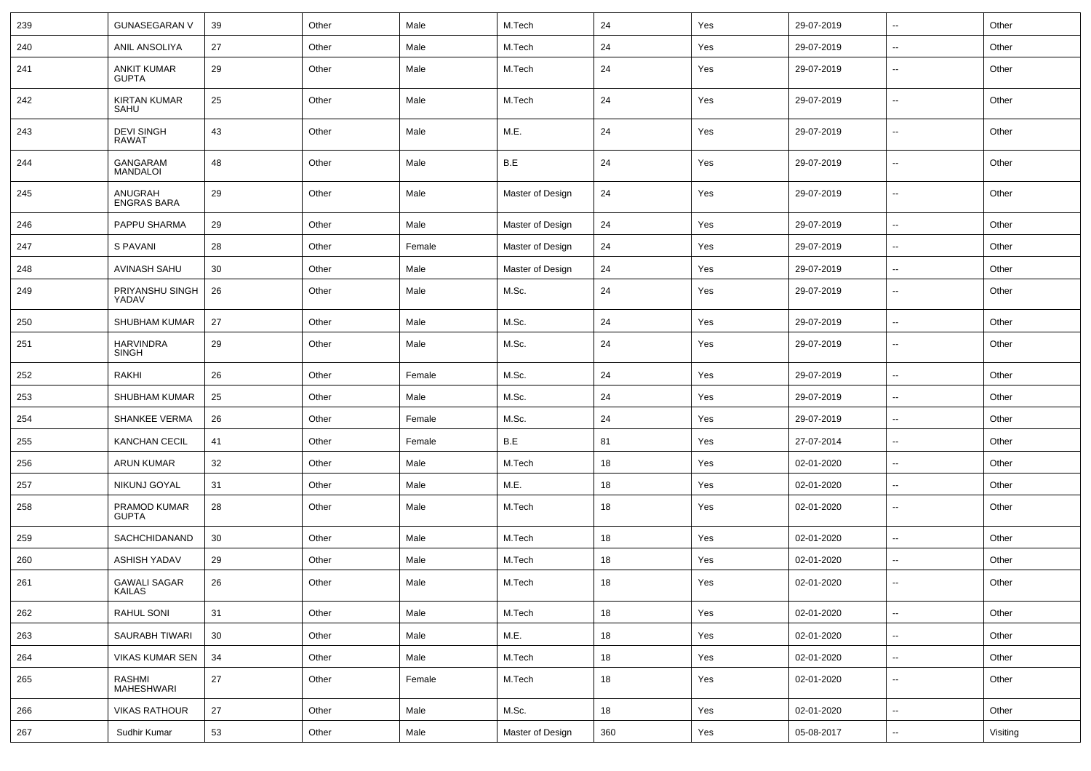| 239 | <b>GUNASEGARAN V</b>                 | 39 | Other | Male   | M.Tech           | 24  | Yes | 29-07-2019 | $\sim$                   | Other    |
|-----|--------------------------------------|----|-------|--------|------------------|-----|-----|------------|--------------------------|----------|
| 240 | ANIL ANSOLIYA                        | 27 | Other | Male   | M.Tech           | 24  | Yes | 29-07-2019 | --                       | Other    |
| 241 | ANKIT KUMAR<br><b>GUPTA</b>          | 29 | Other | Male   | M.Tech           | 24  | Yes | 29-07-2019 | --                       | Other    |
| 242 | <b>KIRTAN KUMAR</b><br>SAHU          | 25 | Other | Male   | M.Tech           | 24  | Yes | 29-07-2019 | $\overline{\phantom{a}}$ | Other    |
| 243 | <b>DEVI SINGH</b><br><b>RAWAT</b>    | 43 | Other | Male   | M.E.             | 24  | Yes | 29-07-2019 | ⊷.                       | Other    |
| 244 | GANGARAM<br><b>MANDALOI</b>          | 48 | Other | Male   | B.E              | 24  | Yes | 29-07-2019 | $\overline{\phantom{a}}$ | Other    |
| 245 | ANUGRAH<br><b>ENGRAS BARA</b>        | 29 | Other | Male   | Master of Design | 24  | Yes | 29-07-2019 | ⊷.                       | Other    |
| 246 | PAPPU SHARMA                         | 29 | Other | Male   | Master of Design | 24  | Yes | 29-07-2019 | $\overline{\phantom{a}}$ | Other    |
| 247 | S PAVANI                             | 28 | Other | Female | Master of Design | 24  | Yes | 29-07-2019 | $\overline{\phantom{a}}$ | Other    |
| 248 | <b>AVINASH SAHU</b>                  | 30 | Other | Male   | Master of Design | 24  | Yes | 29-07-2019 | --                       | Other    |
| 249 | PRIYANSHU SINGH<br>YADAV             | 26 | Other | Male   | M.Sc.            | 24  | Yes | 29-07-2019 | $\sim$                   | Other    |
| 250 | SHUBHAM KUMAR                        | 27 | Other | Male   | M.Sc.            | 24  | Yes | 29-07-2019 | $\sim$                   | Other    |
| 251 | <b>HARVINDRA</b><br>SINGH            | 29 | Other | Male   | M.Sc.            | 24  | Yes | 29-07-2019 | --                       | Other    |
| 252 | RAKHI                                | 26 | Other | Female | M.Sc.            | 24  | Yes | 29-07-2019 | Ξ.                       | Other    |
| 253 | SHUBHAM KUMAR                        | 25 | Other | Male   | M.Sc.            | 24  | Yes | 29-07-2019 | ⊷.                       | Other    |
| 254 | <b>SHANKEE VERMA</b>                 | 26 | Other | Female | M.Sc.            | 24  | Yes | 29-07-2019 | $\sim$                   | Other    |
| 255 | <b>KANCHAN CECIL</b>                 | 41 | Other | Female | B.E              | 81  | Yes | 27-07-2014 | --                       | Other    |
| 256 | <b>ARUN KUMAR</b>                    | 32 | Other | Male   | M.Tech           | 18  | Yes | 02-01-2020 | --                       | Other    |
| 257 | NIKUNJ GOYAL                         | 31 | Other | Male   | M.E.             | 18  | Yes | 02-01-2020 | $\overline{\phantom{a}}$ | Other    |
| 258 | PRAMOD KUMAR<br><b>GUPTA</b>         | 28 | Other | Male   | M.Tech           | 18  | Yes | 02-01-2020 | ⊷.                       | Other    |
| 259 | SACHCHIDANAND                        | 30 | Other | Male   | M.Tech           | 18  | Yes | 02-01-2020 | ⊷.                       | Other    |
| 260 | <b>ASHISH YADAV</b>                  | 29 | Other | Male   | M.Tech           | 18  | Yes | 02-01-2020 | $\overline{\phantom{a}}$ | Other    |
| 261 | <b>GAWALI SAGAR</b><br><b>KAILAS</b> | 26 | Other | Male   | M.Tech           | 18  | Yes | 02-01-2020 | --                       | Other    |
| 262 | RAHUL SONI                           | 31 | Other | Male   | M.Tech           | 18  | Yes | 02-01-2020 | $\sim$                   | Other    |
| 263 | SAURABH TIWARI                       | 30 | Other | Male   | M.E.             | 18  | Yes | 02-01-2020 | $\overline{\phantom{a}}$ | Other    |
| 264 | <b>VIKAS KUMAR SEN</b>               | 34 | Other | Male   | M.Tech           | 18  | Yes | 02-01-2020 | $\overline{\phantom{a}}$ | Other    |
| 265 | RASHMI<br><b>MAHESHWARI</b>          | 27 | Other | Female | M.Tech           | 18  | Yes | 02-01-2020 | $\sim$                   | Other    |
| 266 | <b>VIKAS RATHOUR</b>                 | 27 | Other | Male   | M.Sc.            | 18  | Yes | 02-01-2020 | н.                       | Other    |
| 267 | Sudhir Kumar                         | 53 | Other | Male   | Master of Design | 360 | Yes | 05-08-2017 | $\sim$                   | Visiting |